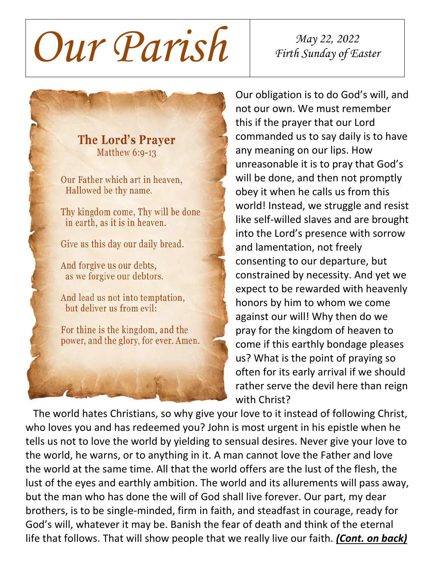*Our Parish May 22, <sup>2022</sup>*

*Firth Sunday of Easter*

**The Lord's Praver** Matthew 6:9-13

Our Father which art in heaven. Hallowed be thy name.

Thy kingdom come, Thy will be done in earth, as it is in heaven.

Give us this day our daily bread.

And forgive us our debts, as we forgive our debtors.

And lead us not into temptation, but deliver us from evil:

For thine is the kingdom, and the power, and the glory, for ever. Amen.



Our obligation is to do God's will, and not our own. We must remember this if the prayer that our Lord commanded us to say daily is to have any meaning on our lips. How unreasonable it is to pray that God's will be done, and then not promptly obey it when he calls us from this world! Instead, we struggle and resist like self-willed slaves and are brought into the Lord's presence with sorrow and lamentation, not freely consenting to our departure, but constrained by necessity. And yet we expect to be rewarded with heavenly honors by him to whom we come against our will! Why then do we pray for the kingdom of heaven to come if this earthly bondage pleases us? What is the point of praying so often for its early arrival if we should rather serve the devil here than reign with Christ?

 The world hates Christians, so why give your love to it instead of following Christ, who loves you and has redeemed you? John is most urgent in his epistle when he tells us not to love the world by yielding to sensual desires. Never give your love to the world, he warns, or to anything in it. A man cannot love the Father and love the world at the same time. All that the world offers are the lust of the flesh, the lust of the eyes and earthly ambition. The world and its allurements will pass away, but the man who has done the will of God shall live forever. Our part, my dear brothers, is to be single-minded, firm in faith, and steadfast in courage, ready for God's will, whatever it may be. Banish the fear of death and think of the eternal life that follows. That will show people that we really live our faith. *(Cont. on back)*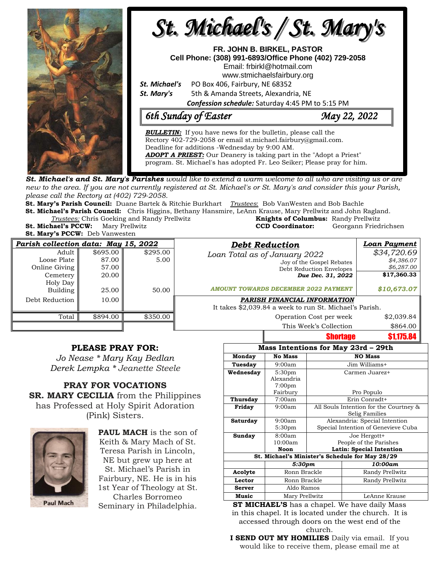

**St. Michael's and St. Mary's Parishes** would like to extend a warm welcome to all who are visiting us or are new to the area. If you are not currently registered at St. Michael's or St. Mary's and consider this your Parish, *please call the Rectory at (402) 729-2058.* 

**St. Mary's Parish Council:** Duane Bartek & Ritchie Burkhart *Trustees*: Bob VanWesten and Bob Bachle **St. Michael's Parish Council:** Chris Higgins, Bethany Hansmire, LeAnn Krause, Mary Prellwitz and John Ragland.

*Trustees:* Chris Goeking and Randy Prellwitz **Knights of Columbus:** Randy Prellwitz **St. Michael's PCCW:** Mary Prellwitz **CCD Coordinator:** Georgann Friedrichsen

**St. Mary's PCCW:** Deb Vanwesten

| Parish collection data: May 15, 2022 |          |          | <b>Debt Reduction</b>                                   | Loan Payment |  |
|--------------------------------------|----------|----------|---------------------------------------------------------|--------------|--|
| Adult                                | \$695.00 | \$295.00 | Loan Total as of January 2022                           | \$34,720.69  |  |
| Loose Plate                          | 87.00    | 5.00     | Joy of the Gospel Rebates                               | \$4,386.07   |  |
| Online Giving                        | 57.00    |          | Debt Reduction Envelopes                                | \$6,287.00   |  |
| Cemetery                             | 20.00    |          | Due Dec. 31, 2022                                       | \$17,360.33  |  |
| Holy Day                             |          |          |                                                         |              |  |
| Building                             | 25.00    | 50.00    | <b>AMOUNT TOWARDS DECEMBER 2022 PAYMENT</b>             | \$10,673.07  |  |
| Debt Reduction                       | 10.00    |          | PARISH FINANCIAL INFORMATION                            |              |  |
|                                      |          |          | It takes \$2,039.84 a week to run St. Michael's Parish. |              |  |
| Total                                | \$894.00 | \$350.00 | Operation Cost per week                                 | \$2,039.84   |  |
|                                      |          |          | This Week's Collection                                  | \$864.00     |  |

## **PLEASE PRAY FOR:**

*Jo Nease \* Mary Kay Bedlan Derek Lempka \* Jeanette Steele*

**PRAY FOR VOCATIONS SR. MARY CECILIA** from the Philippines has Professed at Holy Spirit Adoration (Pink) Sisters.



**PAUL MACH** is the son of Keith & Mary Mach of St. Teresa Parish in Lincoln, NE but grew up here at St. Michael's Parish in Fairbury, NE. He is in his 1st Year of Theology at St. Charles Borromeo

| Mass Intentions for May 23rd - 29th             |                    |                                        |  |  |  |  |
|-------------------------------------------------|--------------------|----------------------------------------|--|--|--|--|
| Monday                                          | <b>No Mass</b>     | <b>NO Mass</b>                         |  |  |  |  |
| Tuesday                                         | 9:00am             | Jim Williams+                          |  |  |  |  |
| Wednesday                                       | 5:30 <sub>pm</sub> | Carmen Juarez+                         |  |  |  |  |
|                                                 | Alexandria         |                                        |  |  |  |  |
|                                                 | 7:00 <sub>pm</sub> |                                        |  |  |  |  |
|                                                 | Fairbury           | Pro Populo                             |  |  |  |  |
| Thursday                                        | 7:00am             | Erin Conradt+                          |  |  |  |  |
| Friday                                          | 9:00am             | All Souls Intention for the Courtney & |  |  |  |  |
|                                                 |                    | Selig Families                         |  |  |  |  |
| Saturday                                        | 9:00am             | Alexandria: Special Intention          |  |  |  |  |
|                                                 | 5:30 <sub>pm</sub> | Special Intention of Genevieve Cuba    |  |  |  |  |
| Sunday                                          | 8:00am             | Joe Hergott+                           |  |  |  |  |
|                                                 | 10:00am            | People of the Parishes                 |  |  |  |  |
|                                                 | Noon               | Latin: Special Intention               |  |  |  |  |
| St. Michael's Minister's Schedule for May 28/29 |                    |                                        |  |  |  |  |
|                                                 | 5:30pm             | 10:00am                                |  |  |  |  |
| Acolyte                                         | Ronn Brackle       | Randy Prellwitz                        |  |  |  |  |
| Lector                                          | Ronn Brackle       | Randy Prellwitz                        |  |  |  |  |
| <b>Server</b>                                   | Aldo Ramos         |                                        |  |  |  |  |
| <b>Music</b>                                    | Mary Prellwitz     | LeAnne Krause                          |  |  |  |  |

Shortage \$1,175.8

Seminary in Philadelphia. **ST MICHAEL'S** has a chapel. We have daily Mass in this chapel. It is located under the church. It is accessed through doors on the west end of the church.

**I SEND OUT MY HOMILIES** Daily via email. If you would like to receive them, please email me at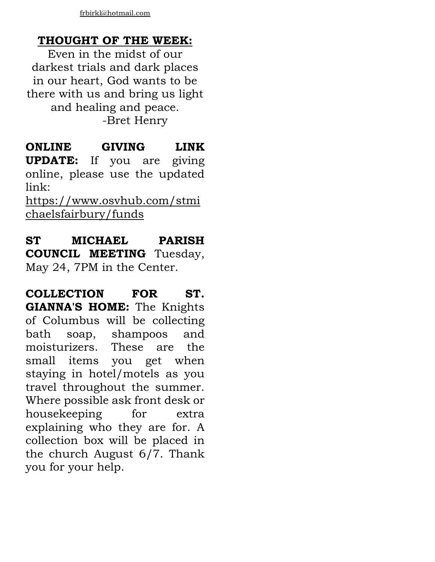## **THOUGHT OF THE WEEK:**

Even in the midst of our darkest trials and dark places in our heart, God wants to be there with us and bring us light and healing and peace. -Bret Henry

**ONLINE GIVING LINK UPDATE:** If you are giving online, please use the updated link:

[https://www.osvhub.com/stmi](https://www.osvhub.com/stmichaelsfairbury/funds) [chaelsfairbury/funds](https://www.osvhub.com/stmichaelsfairbury/funds)

**ST MICHAEL PARISH COUNCIL MEETING** Tuesday, May 24, 7PM in the Center.

**COLLECTION FOR ST. GIANNA'S HOME:** The Knights of Columbus will be collecting bath soap, shampoos and moisturizers. These are the small items you get when staying in hotel/motels as you travel throughout the summer. Where possible ask front desk or housekeeping for extra explaining who they are for. A collection box will be placed in the church August 6/7. Thank you for your help.